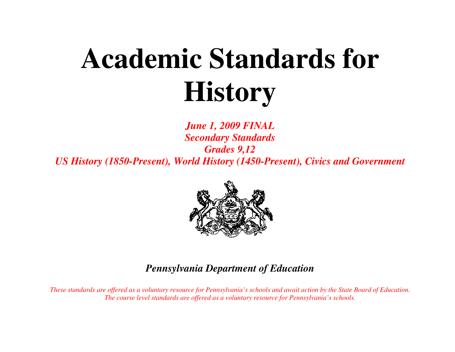# **Academic Standards for History**

*June 1, 2009 FINAL Secondary Standards Grades 9,12 US History (1850-Present), World History (1450-Present), Civics and Government* 



# *Pennsylvania Department of Education*

*These standards are offered as a voluntary resource for Pennsylvania's schools and await action by the State Board of Education. The course level standards are offered as a voluntary resource for Pennsylvania's schools.*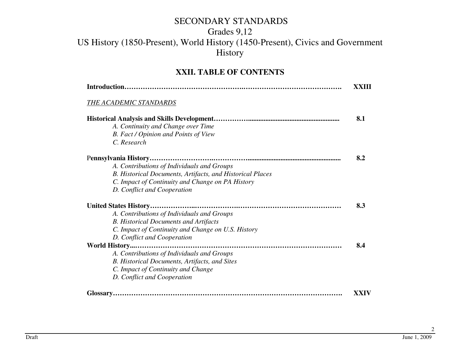## Grades 9,12

## US History (1850-Present), World History (1450-Present), Civics and Government History

#### **XXII. TABLE OF CONTENTS**

|                                                           | XXIII       |
|-----------------------------------------------------------|-------------|
| THE ACADEMIC STANDARDS                                    |             |
|                                                           | 8.1         |
| A. Continuity and Change over Time                        |             |
| B. Fact / Opinion and Points of View                      |             |
| C. Research                                               |             |
|                                                           | 8.2         |
| A. Contributions of Individuals and Groups                |             |
| B. Historical Documents, Artifacts, and Historical Places |             |
| C. Impact of Continuity and Change on PA History          |             |
| D. Conflict and Cooperation                               |             |
|                                                           | 8.3         |
| A. Contributions of Individuals and Groups                |             |
| <b>B.</b> Historical Documents and Artifacts              |             |
| C. Impact of Continuity and Change on U.S. History        |             |
| D. Conflict and Cooperation                               |             |
| World History                                             | 8.4         |
| A. Contributions of Individuals and Groups                |             |
| B. Historical Documents, Artifacts, and Sites             |             |
| C. Impact of Continuity and Change                        |             |
| D. Conflict and Cooperation                               |             |
|                                                           | <b>XXIV</b> |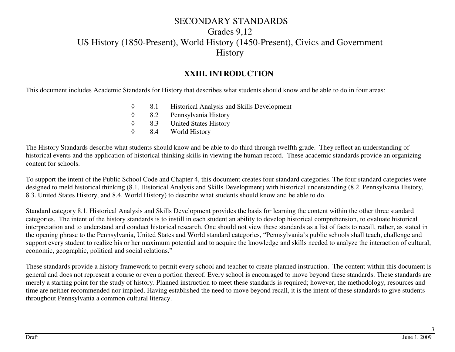#### **XXIII. INTRODUCTION**

This document includes Academic Standards for History that describes what students should know and be able to do in four areas:

- ◊8.1 Historical Analysis and Skills Development<br>8.2 Pennsylvania History
- ◊8.2 Pennsylvania History<br>8.3 United States History
- ◊8.3 United States History<br>8.4 World History
- ◊World History

The History Standards describe what students should know and be able to do third through twelfth grade. They reflect an understanding of historical events and the application of historical thinking skills in viewing the human record. These academic standards provide an organizing content for schools.

To support the intent of the Public School Code and Chapter 4, this document creates four standard categories. The four standard categories were designed to meld historical thinking (8.1. Historical Analysis and Skills Development) with historical understanding (8.2. Pennsylvania History, 8.3. United States History, and 8.4. World History) to describe what students should know and be able to do.

Standard category 8.1. Historical Analysis and Skills Development provides the basis for learning the content within the other three standard categories. The intent of the history standards is to instill in each student an ability to develop historical comprehension, to evaluate historical interpretation and to understand and conduct historical research. One should not view these standards as a list of facts to recall, rather, as stated in the opening phrase to the Pennsylvania, United States and World standard categories, "Pennsylvania's public schools shall teach, challenge and support every student to realize his or her maximum potential and to acquire the knowledge and skills needed to analyze the interaction of cultural, economic, geographic, political and social relations."

These standards provide a history framework to permit every school and teacher to create planned instruction. The content within this document is general and does not represent a course or even a portion thereof. Every school is encouraged to move beyond these standards. These standards are merely a starting point for the study of history. Planned instruction to meet these standards is required; however, the methodology, resources and time are neither recommended nor implied. Having established the need to move beyond recall, it is the intent of these standards to give students throughout Pennsylvania a common cultural literacy.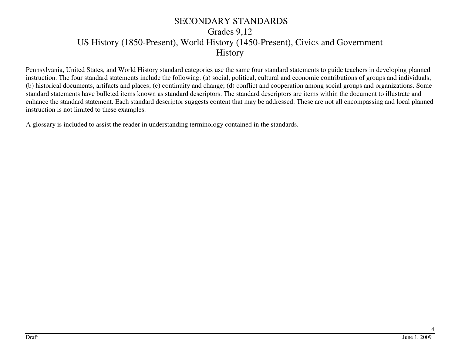Pennsylvania, United States, and World History standard categories use the same four standard statements to guide teachers in developing planned instruction. The four standard statements include the following: (a) social, political, cultural and economic contributions of groups and individuals; (b) historical documents, artifacts and places; (c) continuity and change; (d) conflict and cooperation among social groups and organizations. Some standard statements have bulleted items known as standard descriptors. The standard descriptors are items within the document to illustrate and enhance the standard statement. Each standard descriptor suggests content that may be addressed. These are not all encompassing and local planned instruction is not limited to these examples.

A glossary is included to assist the reader in understanding terminology contained in the standards.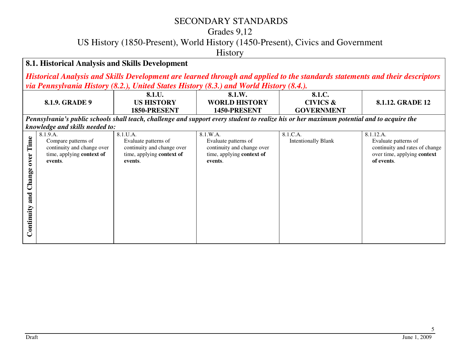#### Grades 9,12

US History (1850-Present), World History (1450-Present), Civics and Government

History

#### **8.1. Historical Analysis and Skills Development**

*Historical Analysis and Skills Development are learned through and applied to the standards statements and their descriptors via Pennsylvania History (8.2.), United States History (8.3.) and World History (8.4.).*

|                                             | 8.1.9. GRADE 9                                                                                        | 8.1.U.<br><b>US HISTORY</b><br>1850-PRESENT                                                            | 8.1.W.<br><b>WORLD HISTORY</b><br>1450-PRESENT                                                         | 8.1.C.<br><b>CIVICS &amp;</b><br><b>GOVERNMENT</b>                                                                                        | <b>8.1.12. GRADE 12</b>                                                                                          |
|---------------------------------------------|-------------------------------------------------------------------------------------------------------|--------------------------------------------------------------------------------------------------------|--------------------------------------------------------------------------------------------------------|-------------------------------------------------------------------------------------------------------------------------------------------|------------------------------------------------------------------------------------------------------------------|
|                                             |                                                                                                       |                                                                                                        |                                                                                                        | Pennsylvania's public schools shall teach, challenge and support every student to realize his or her maximum potential and to acquire the |                                                                                                                  |
|                                             | knowledge and skills needed to:                                                                       |                                                                                                        |                                                                                                        |                                                                                                                                           |                                                                                                                  |
| Time<br>over<br>Change<br>and<br>Continuity | 8.1.9.A.<br>Compare patterns of<br>continuity and change over<br>time, applying context of<br>events. | 8.1.U.A.<br>Evaluate patterns of<br>continuity and change over<br>time, applying context of<br>events. | 8.1.W.A.<br>Evaluate patterns of<br>continuity and change over<br>time, applying context of<br>events. | 8.1.C.A.<br><b>Intentionally Blank</b>                                                                                                    | 8.1.12.A.<br>Evaluate patterns of<br>continuity and rates of change<br>over time, applying context<br>of events. |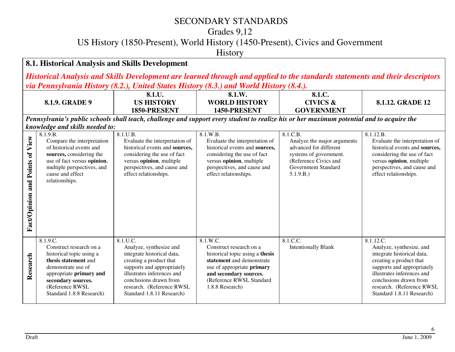Grades 9,12

US History (1850-Present), World History (1450-Present), Civics and Government

History

#### **8.1. Historical Analysis and Skills Development**

*Historical Analysis and Skills Development are learned through and applied to the standards statements and their descriptors via Pennsylvania History (8.2.), United States History (8.3.) and World History (8.4.).*

|                                    |                                                                                                                                                                                                               | 8.1.U.                                                                                                                                                                                                                                       | 8.1.W.                                                                                                                                                                                                     | 8.1.C.                                                                                                                                                   |                                                                                                                                                                                                                                                |
|------------------------------------|---------------------------------------------------------------------------------------------------------------------------------------------------------------------------------------------------------------|----------------------------------------------------------------------------------------------------------------------------------------------------------------------------------------------------------------------------------------------|------------------------------------------------------------------------------------------------------------------------------------------------------------------------------------------------------------|----------------------------------------------------------------------------------------------------------------------------------------------------------|------------------------------------------------------------------------------------------------------------------------------------------------------------------------------------------------------------------------------------------------|
|                                    | 8.1.9. GRADE 9                                                                                                                                                                                                | <b>US HISTORY</b><br>1850-PRESENT                                                                                                                                                                                                            | <b>WORLD HISTORY</b><br>1450-PRESENT                                                                                                                                                                       | <b>CIVICS &amp;</b>                                                                                                                                      | 8.1.12. GRADE 12                                                                                                                                                                                                                               |
|                                    | knowledge and skills needed to:                                                                                                                                                                               | Pennsylvania's public schools shall teach, challenge and support every student to realize his or her maximum potential and to acquire the                                                                                                    |                                                                                                                                                                                                            | <b>GOVERNMENT</b>                                                                                                                                        |                                                                                                                                                                                                                                                |
| and Points of View<br>Fact/Opinion | 8.1.9.B.<br>Compare the interpretation<br>of historical events and<br>sources, considering the<br>use of fact versus opinion,<br>multiple perspectives, and<br>cause and effect<br>relationships.             | 8.1.U.B.<br>Evaluate the interpretation of<br>historical events and sources,<br>considering the use of fact<br>versus opinion, multiple<br>perspectives, and cause and<br>effect relationships.                                              | 8.1.W.B.<br>Evaluate the interpretation of<br>historical events and sources,<br>considering the use of fact<br>versus opinion, multiple<br>perspectives, and cause and<br>effect relationships.            | 8.1.C.B.<br>Analyze the major arguments<br>advanced for different<br>systems of government.<br>(Reference Civics and<br>Government Standard<br>5.1.9.B.) | 8.1.12.B.<br>Evaluate the interpretation of<br>historical events and sources,<br>considering the use of fact<br>versus opinion, multiple<br>perspectives, and cause and<br>effect relationships.                                               |
| Research                           | 8.1.9.C.<br>Construct research on a<br>historical topic using a<br>thesis statement and<br>demonstrate use of<br>appropriate primary and<br>secondary sources.<br>(Reference RWSL<br>Standard 1.8.8 Research) | 8.1.U.C.<br>Analyze, synthesize and<br>integrate historical data,<br>creating a product that<br>supports and appropriately<br>illustrates inferences and<br>conclusions drawn from<br>research. (Reference RWSL<br>Standard 1.8.11 Research) | 8.1.W.C.<br>Construct research on a<br>historical topic using a thesis<br>statement and demonstrate<br>use of appropriate primary<br>and secondary sources.<br>(Reference RWSL Standard<br>1.8.8 Research) | 8.1.C.C.<br><b>Intentionally Blank</b>                                                                                                                   | 8.1.12.C.<br>Analyze, synthesize, and<br>integrate historical data,<br>creating a product that<br>supports and appropriately<br>illustrates inferences and<br>conclusions drawn from<br>research. (Reference RWSL<br>Standard 1.8.11 Research) |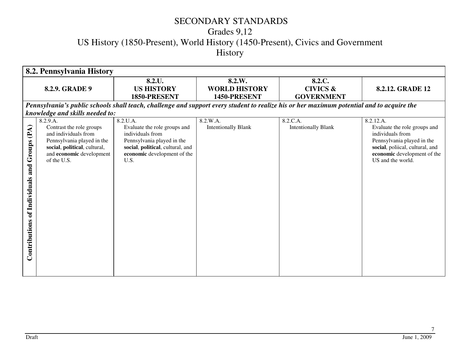# Grades 9,12 US History (1850-Present), World History (1450-Present), Civics and Government History

|                                                                           | 8.2. Pennsylvania History                                                                                                                                             |                                                                                                                                                                       |                                                |                                                    |                                                                                                                                                                                    |  |  |
|---------------------------------------------------------------------------|-----------------------------------------------------------------------------------------------------------------------------------------------------------------------|-----------------------------------------------------------------------------------------------------------------------------------------------------------------------|------------------------------------------------|----------------------------------------------------|------------------------------------------------------------------------------------------------------------------------------------------------------------------------------------|--|--|
|                                                                           | 8.2.9. GRADE 9                                                                                                                                                        | 8.2.U.<br><b>US HISTORY</b><br>1850-PRESENT                                                                                                                           | 8.2.W.<br><b>WORLD HISTORY</b><br>1450-PRESENT | 8.2.C.<br><b>CIVICS &amp;</b><br><b>GOVERNMENT</b> | 8.2.12. GRADE 12                                                                                                                                                                   |  |  |
|                                                                           |                                                                                                                                                                       | Pennsylvania's public schools shall teach, challenge and support every student to realize his or her maximum potential and to acquire the                             |                                                |                                                    |                                                                                                                                                                                    |  |  |
|                                                                           | knowledge and skills needed to:                                                                                                                                       |                                                                                                                                                                       |                                                |                                                    |                                                                                                                                                                                    |  |  |
| $\mathbf{\hat{A}}$<br>Groups (P<br>and<br>of Individuals<br>Contributions | 8.2.9.A.<br>Contrast the role groups<br>and individuals from<br>Pennsylvania played in the<br>social, political, cultural,<br>and economic development<br>of the U.S. | 8.2.U.A.<br>Evaluate the role groups and<br>individuals from<br>Pennsylvania played in the<br>social, political, cultural, and<br>economic development of the<br>U.S. | 8.2.W.A.<br><b>Intentionally Blank</b>         | 8.2.C.A.<br><b>Intentionally Blank</b>             | 8.2.12.A.<br>Evaluate the role groups and<br>individuals from<br>Pennsylvania played in the<br>social, poliical, cultural, and<br>economic development of the<br>US and the world. |  |  |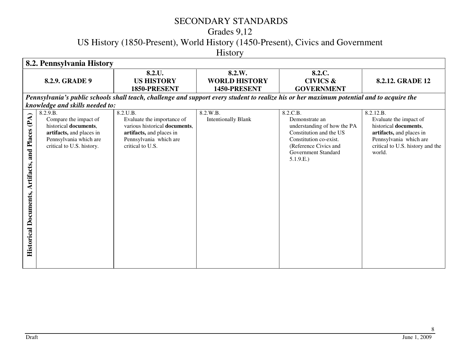# Grades 9,12

US History (1850-Present), World History (1450-Present), Civics and Government

History

|                                                                  | 8.2. Pennsylvania History                                                                                                                                                        |                                                                                                                                                   |                                                |                                                                                                                                                                             |                                                                                                                                                                  |  |  |
|------------------------------------------------------------------|----------------------------------------------------------------------------------------------------------------------------------------------------------------------------------|---------------------------------------------------------------------------------------------------------------------------------------------------|------------------------------------------------|-----------------------------------------------------------------------------------------------------------------------------------------------------------------------------|------------------------------------------------------------------------------------------------------------------------------------------------------------------|--|--|
|                                                                  | 8.2.9. GRADE 9                                                                                                                                                                   | 8.2.U.<br><b>US HISTORY</b><br>1850-PRESENT                                                                                                       | 8.2.W.<br><b>WORLD HISTORY</b><br>1450-PRESENT | 8.2.C.<br><b>CIVICS &amp;</b><br><b>GOVERNMENT</b>                                                                                                                          | <b>8.2.12. GRADE 12</b>                                                                                                                                          |  |  |
|                                                                  |                                                                                                                                                                                  |                                                                                                                                                   |                                                | Pennsylvania's public schools shall teach, challenge and support every student to realize his or her maximum potential and to acquire the                                   |                                                                                                                                                                  |  |  |
| (PA)<br>and Places<br>Artifacts,<br><b>Historical Documents,</b> | knowledge and skills needed to:<br>8.2.9.B.<br>Compare the impact of<br>historical documents,<br>artifacts, and places in<br>Pennsylvania which are<br>critical to U.S. history. | 8.2.U.B.<br>Evaluate the importance of<br>various historical documents,<br>artifacts, and places in<br>Pennsylvania which are<br>critical to U.S. | 8.2.W.B.<br><b>Intentionally Blank</b>         | 8.2.C.B.<br>Demonstrate an<br>understanding of how the PA<br>Constitution and the US<br>Constitution co-exist.<br>(Reference Civics and<br>Government Standard<br>5.1.9.E.) | 8.2.12.B.<br>Evaluate the impact of<br>historical documents,<br>artifacts, and places in<br>Pennsylvania which are<br>critical to U.S. history and the<br>world. |  |  |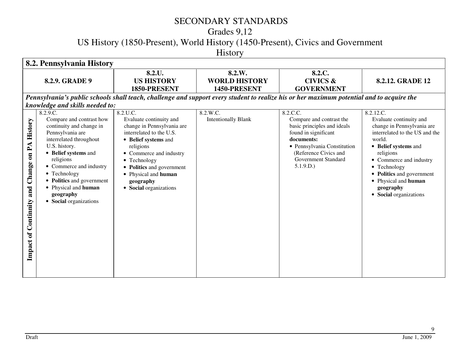# Grades 9,12

US History (1850-Present), World History (1450-Present), Civics and Government

History

| 8.2. Pennsylvania History                                  |                                                                                                                                                                                                                                                                                                                                                 |                                                                                                                                                                                                                                                                                   |                                                |                                                                                                                                                                                                             |                                                                                                                                                                                                                                                                                            |  |
|------------------------------------------------------------|-------------------------------------------------------------------------------------------------------------------------------------------------------------------------------------------------------------------------------------------------------------------------------------------------------------------------------------------------|-----------------------------------------------------------------------------------------------------------------------------------------------------------------------------------------------------------------------------------------------------------------------------------|------------------------------------------------|-------------------------------------------------------------------------------------------------------------------------------------------------------------------------------------------------------------|--------------------------------------------------------------------------------------------------------------------------------------------------------------------------------------------------------------------------------------------------------------------------------------------|--|
|                                                            | 8.2.9. GRADE 9                                                                                                                                                                                                                                                                                                                                  | 8.2.U.<br><b>US HISTORY</b><br>1850-PRESENT                                                                                                                                                                                                                                       | 8.2.W.<br><b>WORLD HISTORY</b><br>1450-PRESENT | 8.2.C.<br><b>CIVICS &amp;</b><br><b>GOVERNMENT</b>                                                                                                                                                          | <b>8.2.12. GRADE 12</b>                                                                                                                                                                                                                                                                    |  |
|                                                            |                                                                                                                                                                                                                                                                                                                                                 |                                                                                                                                                                                                                                                                                   |                                                | Pennsylvania's public schools shall teach, challenge and support every student to realize his or her maximum potential and to acquire the                                                                   |                                                                                                                                                                                                                                                                                            |  |
| Change on PA History<br>and<br><b>Impact of Continnity</b> | knowledge and skills needed to:<br>8.2.9.C.<br>Compare and contrast how<br>continuity and change in<br>Pennsylvania are<br>interrelated throughout<br>U.S. history.<br>• Belief systems and<br>religions<br>• Commerce and industry<br>• Technology<br>• Politics and government<br>• Physical and human<br>geography<br>• Social organizations | 8.2.U.C.<br>Evaluate continuity and<br>change in Pennsylvania are<br>interrelated to the U.S.<br>• Belief systems and<br>religions<br>• Commerce and industry<br>$\bullet$ Technology<br>• Politics and government<br>• Physical and human<br>geography<br>• Social organizations | 8.2.W.C.<br><b>Intentionally Blank</b>         | 8.2.C.C.<br>Compare and contrast the<br>basic principles and ideals<br>found in significant<br>documents:<br>• Pennsylvania Constitution<br>(Reference Civics and<br><b>Government Standard</b><br>5.1.9.D. | 8.2.12.C.<br>Evaluate continuity and<br>change in Pennsylvania are<br>interrelated to the US and the<br>world.<br>• Belief systems and<br>religions<br>• Commerce and industry<br>• Technology<br>• Politics and government<br>• Physical and human<br>geography<br>• Social organizations |  |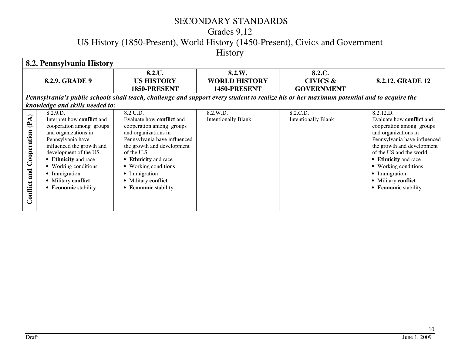# Grades 9,12

US History (1850-Present), World History (1450-Present), Civics and Government

History

| 8.2. Pennsylvania History       |                                 |                                                                                                                                           |                            |                            |                                  |  |
|---------------------------------|---------------------------------|-------------------------------------------------------------------------------------------------------------------------------------------|----------------------------|----------------------------|----------------------------------|--|
|                                 |                                 | 8.2.U.                                                                                                                                    | 8.2.W.                     | 8.2.C.                     |                                  |  |
|                                 | 8.2.9. GRADE 9                  | <b>US HISTORY</b>                                                                                                                         | <b>WORLD HISTORY</b>       | <b>CIVICS &amp;</b>        | 8.2.12. GRADE 12                 |  |
|                                 |                                 | 1850-PRESENT                                                                                                                              | 1450-PRESENT               | <b>GOVERNMENT</b>          |                                  |  |
|                                 |                                 | Pennsylvania's public schools shall teach, challenge and support every student to realize his or her maximum potential and to acquire the |                            |                            |                                  |  |
|                                 | knowledge and skills needed to: |                                                                                                                                           |                            |                            |                                  |  |
|                                 | 8.2.9.D.                        | 8.2.U.D.                                                                                                                                  | 8.2.W.D.                   | 8.2.C.D.                   | 8.2.12.D.                        |  |
| (PA)                            | Interpret how conflict and      | Evaluate how <b>conflict</b> and                                                                                                          | <b>Intentionally Blank</b> | <b>Intentionally Blank</b> | Evaluate how <b>conflict</b> and |  |
|                                 | cooperation among groups        | cooperation among groups                                                                                                                  |                            |                            | cooperation among groups         |  |
|                                 | and organizations in            | and organizations in                                                                                                                      |                            |                            | and organizations in             |  |
|                                 | Pennsylvania have               | Pennsylvania have influenced                                                                                                              |                            |                            | Pennsylvania have influenced     |  |
|                                 | influenced the growth and       | the growth and development                                                                                                                |                            |                            | the growth and development       |  |
|                                 | development of the US.          | of the U.S.                                                                                                                               |                            |                            | of the US and the world.         |  |
|                                 | • Ethnicity and race            | • Ethnicity and race                                                                                                                      |                            |                            | • Ethnicity and race             |  |
|                                 | • Working conditions            | • Working conditions                                                                                                                      |                            |                            | • Working conditions             |  |
|                                 | • Immigration                   | • Immigration                                                                                                                             |                            |                            | • Immigration                    |  |
|                                 | • Military conflict             | • Military conflict                                                                                                                       |                            |                            | • Military conflict              |  |
|                                 | • Economic stability            | • Economic stability                                                                                                                      |                            |                            | • Economic stability             |  |
|                                 |                                 |                                                                                                                                           |                            |                            |                                  |  |
| <b>Conflict and Cooperation</b> |                                 |                                                                                                                                           |                            |                            |                                  |  |
|                                 |                                 |                                                                                                                                           |                            |                            |                                  |  |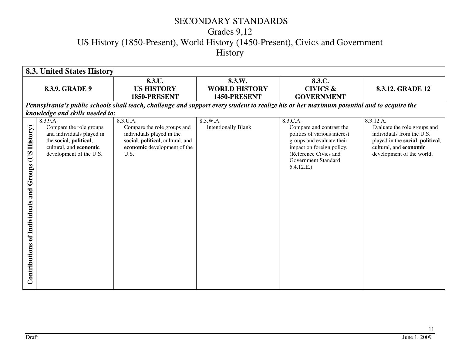# Grades 9,12 US History (1850-Present), World History (1450-Present), Civics and Government History

| <b>8.3. United States History</b>                                              |                                                                                                                                                 |                                                                                                                                                 |                                                |                                                                                                                                                                                              |                                                                                                                                                                   |  |
|--------------------------------------------------------------------------------|-------------------------------------------------------------------------------------------------------------------------------------------------|-------------------------------------------------------------------------------------------------------------------------------------------------|------------------------------------------------|----------------------------------------------------------------------------------------------------------------------------------------------------------------------------------------------|-------------------------------------------------------------------------------------------------------------------------------------------------------------------|--|
|                                                                                | 8.3.9. GRADE 9                                                                                                                                  | 8.3.U.<br><b>US HISTORY</b><br>1850-PRESENT                                                                                                     | 8.3.W.<br><b>WORLD HISTORY</b><br>1450-PRESENT | 8.3.C.<br><b>CIVICS &amp;</b><br><b>GOVERNMENT</b>                                                                                                                                           | 8.3.12. GRADE 12                                                                                                                                                  |  |
|                                                                                |                                                                                                                                                 | Pennsylvania's public schools shall teach, challenge and support every student to realize his or her maximum potential and to acquire the       |                                                |                                                                                                                                                                                              |                                                                                                                                                                   |  |
|                                                                                | knowledge and skills needed to:                                                                                                                 |                                                                                                                                                 |                                                |                                                                                                                                                                                              |                                                                                                                                                                   |  |
| <b>History</b> )<br>SO<br>Groups<br>and<br><b>Contributions of Individuals</b> | 8.3.9.A.<br>Compare the role groups<br>and individuals played in<br>the social, political,<br>cultural, and economic<br>development of the U.S. | 8.3.U.A.<br>Compare the role groups and<br>individuals played in the<br>social, political, cultural, and<br>economic development of the<br>U.S. | 8.3.W.A.<br><b>Intentionally Blank</b>         | 8.3.C.A.<br>Compare and contrast the<br>politics of various interest<br>groups and evaluate their<br>impact on foreign policy.<br>(Reference Civics and<br>Government Standard<br>5.4.12.E.) | 8.3.12.A.<br>Evaluate the role groups and<br>individuals from the U.S.<br>played in the social, political,<br>cultural, and economic<br>development of the world. |  |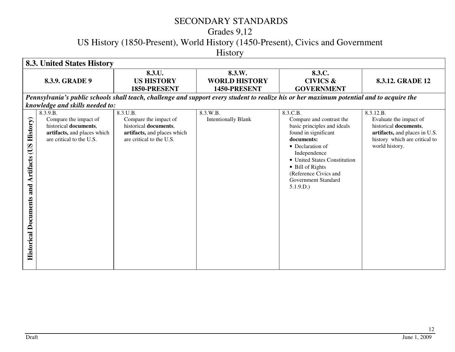# Grades 9,12

US History (1850-Present), World History (1450-Present), Civics and Government

History

|                                                                                          | <b>8.3. United States History</b>                                                                                     |                                                                                                                       |                                                |                                                                                                                                                                                                                                                               |                                                                                                                                                  |  |  |  |
|------------------------------------------------------------------------------------------|-----------------------------------------------------------------------------------------------------------------------|-----------------------------------------------------------------------------------------------------------------------|------------------------------------------------|---------------------------------------------------------------------------------------------------------------------------------------------------------------------------------------------------------------------------------------------------------------|--------------------------------------------------------------------------------------------------------------------------------------------------|--|--|--|
|                                                                                          | 8.3.9. GRADE 9                                                                                                        | 8.3.U.<br><b>US HISTORY</b><br>1850-PRESENT                                                                           | 8.3.W.<br><b>WORLD HISTORY</b><br>1450-PRESENT | 8.3.C.<br><b>CIVICS &amp;</b><br><b>GOVERNMENT</b>                                                                                                                                                                                                            | 8.3.12. GRADE 12                                                                                                                                 |  |  |  |
|                                                                                          |                                                                                                                       |                                                                                                                       |                                                | Pennsylvania's public schools shall teach, challenge and support every student to realize his or her maximum potential and to acquire the                                                                                                                     |                                                                                                                                                  |  |  |  |
|                                                                                          | knowledge and skills needed to:                                                                                       |                                                                                                                       |                                                |                                                                                                                                                                                                                                                               |                                                                                                                                                  |  |  |  |
| <b>History</b> )<br><b>CUS</b><br><b>Artifacts</b><br>and<br><b>Historical Documents</b> | 8.3.9.B.<br>Compare the impact of<br>historical documents,<br>artifacts, and places which<br>are critical to the U.S. | 8.3.U.B.<br>Compare the impact of<br>historical documents,<br>artifacts, and places which<br>are critical to the U.S. | 8.3.W.B.<br><b>Intentionally Blank</b>         | 8.3.C.B.<br>Compare and contrast the<br>basic principles and ideals<br>found in significant<br>documents:<br>• Declaration of<br>Independence<br>• United States Constitution<br>• Bill of Rights<br>(Reference Civics and<br>Government Standard<br>5.1.9.D. | 8.3.12.B.<br>Evaluate the impact of<br>historical documents,<br>artifacts, and places in U.S.<br>history which are critical to<br>world history. |  |  |  |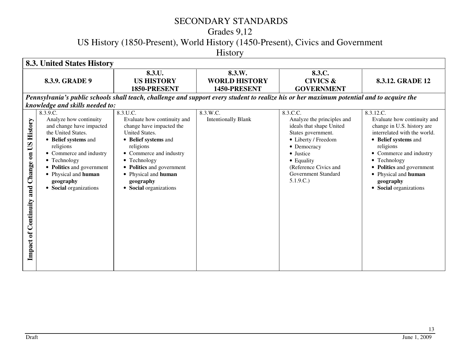# Grades 9,12

US History (1850-Present), World History (1450-Present), Civics and Government

History

|                                                                         | <b>8.3. United States History</b>                                                                                                                                                                                                                                |                                                                                                                                                                                                                                                                          |                                                |                                                                                                                                                                                                                       |                                                                                                                                                                                                                                                                                    |  |  |
|-------------------------------------------------------------------------|------------------------------------------------------------------------------------------------------------------------------------------------------------------------------------------------------------------------------------------------------------------|--------------------------------------------------------------------------------------------------------------------------------------------------------------------------------------------------------------------------------------------------------------------------|------------------------------------------------|-----------------------------------------------------------------------------------------------------------------------------------------------------------------------------------------------------------------------|------------------------------------------------------------------------------------------------------------------------------------------------------------------------------------------------------------------------------------------------------------------------------------|--|--|
|                                                                         | 8.3.9. GRADE 9                                                                                                                                                                                                                                                   | 8.3.U.<br><b>US HISTORY</b><br>1850-PRESENT                                                                                                                                                                                                                              | 8.3.W.<br><b>WORLD HISTORY</b><br>1450-PRESENT | 8.3.C.<br><b>CIVICS &amp;</b><br><b>GOVERNMENT</b>                                                                                                                                                                    | 8.3.12. GRADE 12                                                                                                                                                                                                                                                                   |  |  |
|                                                                         |                                                                                                                                                                                                                                                                  | Pennsylvania's public schools shall teach, challenge and support every student to realize his or her maximum potential and to acquire the                                                                                                                                |                                                |                                                                                                                                                                                                                       |                                                                                                                                                                                                                                                                                    |  |  |
|                                                                         | knowledge and skills needed to:                                                                                                                                                                                                                                  |                                                                                                                                                                                                                                                                          |                                                |                                                                                                                                                                                                                       |                                                                                                                                                                                                                                                                                    |  |  |
| <b>History</b><br>on US<br>Change<br>and<br><b>Impact of Continuity</b> | 8.3.9.C.<br>Analyze how continuity<br>and change have impacted<br>the United States.<br>• Belief systems and<br>religions<br>• Commerce and industry<br>• Technology<br>• Politics and government<br>• Physical and human<br>geography<br>• Social organizations | 8.3.U.C.<br>Evaluate how continuity and<br>change have impacted the<br><b>United States.</b><br>• Belief systems and<br>religions<br>• Commerce and industry<br>• Technology<br>• Politics and government<br>• Physical and human<br>geography<br>• Social organizations | 8.3.W.C.<br><b>Intentionally Blank</b>         | 8.3.C.C.<br>Analyze the principles and<br>ideals that shape United<br>States government.<br>• Liberty / Freedom<br>• Democracy<br>• Justice<br>• Equality<br>(Reference Civics and<br>Government Standard<br>5.1.9.C. | 8.3.12.C.<br>Evaluate how continuity and<br>change in U.S. history are<br>interrelated with the world.<br>• Belief systems and<br>religions<br>• Commerce and industry<br>• Technology<br>• Politics and government<br>• Physical and human<br>geography<br>• Social organizations |  |  |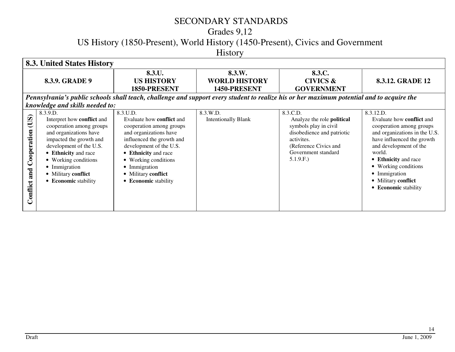# Grades 9,12

US History (1850-Present), World History (1450-Present), Civics and Government

History

|                                        | 8.3. United States History                                                                                                                                                                                                                                         |                                                                                                                                                                                                                                                                            |                                                                                                                                           |                                                                                                                                                                                |                                                                                                                                                                                                                                                                                              |  |  |
|----------------------------------------|--------------------------------------------------------------------------------------------------------------------------------------------------------------------------------------------------------------------------------------------------------------------|----------------------------------------------------------------------------------------------------------------------------------------------------------------------------------------------------------------------------------------------------------------------------|-------------------------------------------------------------------------------------------------------------------------------------------|--------------------------------------------------------------------------------------------------------------------------------------------------------------------------------|----------------------------------------------------------------------------------------------------------------------------------------------------------------------------------------------------------------------------------------------------------------------------------------------|--|--|
|                                        | 8.3.9. GRADE 9                                                                                                                                                                                                                                                     | 8.3.U.<br>US HISTORY                                                                                                                                                                                                                                                       | 8.3.W.<br><b>WORLD HISTORY</b>                                                                                                            | 8.3.C.<br><b>CIVICS &amp;</b>                                                                                                                                                  | 8.3.12. GRADE 12                                                                                                                                                                                                                                                                             |  |  |
|                                        |                                                                                                                                                                                                                                                                    | 1850-PRESENT                                                                                                                                                                                                                                                               | 1450-PRESENT                                                                                                                              | <b>GOVERNMENT</b>                                                                                                                                                              |                                                                                                                                                                                                                                                                                              |  |  |
|                                        |                                                                                                                                                                                                                                                                    |                                                                                                                                                                                                                                                                            | Pennsylvania's public schools shall teach, challenge and support every student to realize his or her maximum potential and to acquire the |                                                                                                                                                                                |                                                                                                                                                                                                                                                                                              |  |  |
|                                        | knowledge and skills needed to:                                                                                                                                                                                                                                    |                                                                                                                                                                                                                                                                            |                                                                                                                                           |                                                                                                                                                                                |                                                                                                                                                                                                                                                                                              |  |  |
| (US)<br>Cooperation<br>and<br>'onflict | 8.3.9.D.<br>Interpret how conflict and<br>cooperation among groups<br>and organizations have<br>impacted the growth and<br>development of the U.S.<br>• Ethnicity and race<br>• Working conditions<br>• Immigration<br>• Military conflict<br>• Economic stability | 8.3.U.D.<br>Evaluate how <b>conflict</b> and<br>cooperation among groups<br>and organizations have<br>influenced the growth and<br>development of the U.S.<br>• Ethnicity and race<br>• Working conditions<br>• Immigration<br>• Military conflict<br>• Economic stability | 8.3.W.D.<br><b>Intentionally Blank</b>                                                                                                    | 8.3.C.D.<br>Analyze the role <b>political</b><br>symbols play in civil<br>disobedience and patriotic<br>activites.<br>(Reference Civics and<br>Government standard<br>5.1.9.F. | 8.3.12.D.<br>Evaluate how <b>conflict</b> and<br>cooperation among groups<br>and organizations in the U.S.<br>have influenced the growth<br>and development of the<br>world.<br>• Ethnicity and race<br>• Working conditions<br>• Immigration<br>• Military conflict<br>• Economic stability |  |  |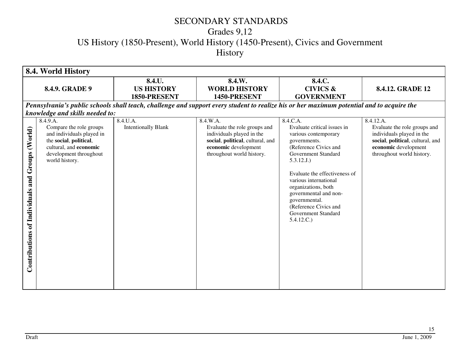# Grades 9,12 US History (1850-Present), World History (1450-Present), Civics and Government History

|                                                          | 8.4. World History                                                                                                                                                                                  |                                             |                                                                                                                                                                |                                                                                                                                                                                                                                                                                                                                        |                                                                                                                                                                 |  |
|----------------------------------------------------------|-----------------------------------------------------------------------------------------------------------------------------------------------------------------------------------------------------|---------------------------------------------|----------------------------------------------------------------------------------------------------------------------------------------------------------------|----------------------------------------------------------------------------------------------------------------------------------------------------------------------------------------------------------------------------------------------------------------------------------------------------------------------------------------|-----------------------------------------------------------------------------------------------------------------------------------------------------------------|--|
|                                                          | 8.4.9. GRADE 9                                                                                                                                                                                      | 8.4.U.<br><b>US HISTORY</b><br>1850-PRESENT | 8.4.W.<br><b>WORLD HISTORY</b><br>1450-PRESENT                                                                                                                 | 8.4.C.<br><b>CIVICS &amp;</b><br><b>GOVERNMENT</b>                                                                                                                                                                                                                                                                                     | 8.4.12. GRADE 12                                                                                                                                                |  |
|                                                          |                                                                                                                                                                                                     |                                             | Pennsylvania's public schools shall teach, challenge and support every student to realize his or her maximum potential and to acquire the                      |                                                                                                                                                                                                                                                                                                                                        |                                                                                                                                                                 |  |
| Groups (World)<br>and<br>of Individuals<br>Contributions | knowledge and skills needed to:<br>8.4.9.A.<br>Compare the role groups<br>and individuals played in<br>the social, political,<br>cultural, and economic<br>development throughout<br>world history. | 8.4.U.A.<br><b>Intentionally Blank</b>      | 8.4.W.A.<br>Evaluate the role groups and<br>individuals played in the<br>social, political, cultural, and<br>economic development<br>throughout world history. | 8.4.C.A.<br>Evaluate critical issues in<br>various contemporary<br>governments.<br>(Reference Civics and<br>Government Standard<br>5.3.12.J.)<br>Evaluate the effectiveness of<br>various international<br>organizations, both<br>governmental and non-<br>governmental.<br>(Reference Civics and<br>Government Standard<br>5.4.12.C.) | 8.4.12.A.<br>Evaluate the role groups and<br>individuals played in the<br>social, political, cultural, and<br>economic development<br>throughout world history. |  |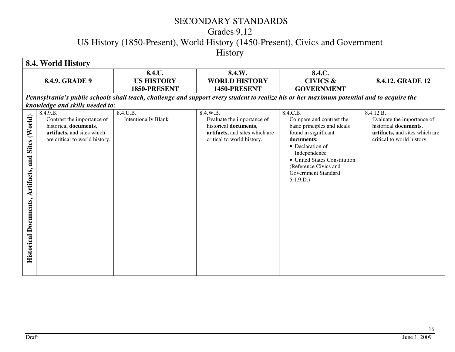# Grades 9,12

US History (1850-Present), World History (1450-Present), Civics and Government

History

| 8.4. World History                 |                                                                                                                                                                    |                                             |                                                                                                                                           |                                                                                                                                                                                                                                           |                                                                                                                                  |
|------------------------------------|--------------------------------------------------------------------------------------------------------------------------------------------------------------------|---------------------------------------------|-------------------------------------------------------------------------------------------------------------------------------------------|-------------------------------------------------------------------------------------------------------------------------------------------------------------------------------------------------------------------------------------------|----------------------------------------------------------------------------------------------------------------------------------|
|                                    | 8.4.9. GRADE 9                                                                                                                                                     | 8.4.U.<br><b>US HISTORY</b><br>1850-PRESENT | 8.4.W.<br><b>WORLD HISTORY</b><br>1450-PRESENT                                                                                            | 8.4.C.<br><b>CIVICS &amp;</b><br><b>GOVERNMENT</b>                                                                                                                                                                                        | 8.4.12. GRADE 12                                                                                                                 |
|                                    |                                                                                                                                                                    |                                             | Pennsylvania's public schools shall teach, challenge and support every student to realize his or her maximum potential and to acquire the |                                                                                                                                                                                                                                           |                                                                                                                                  |
| Sites (World)<br>and<br>Artifacts, | knowledge and skills needed to:<br>8.4.9.B.<br>Contrast the importance of<br>historical documents,<br>artifacts, and sites which<br>are critical to world history. | 8.4.U.B.<br><b>Intentionally Blank</b>      | 8.4.W.B.<br>Evaluate the importance of<br>historical documents,<br>artifacts, and sites which are<br>critical to world history.           | 8.4.C.B.<br>Compare and contrast the<br>basic principles and ideals<br>found in significant<br>documents:<br>• Declaration of<br>Independence<br>• United States Constitution<br>(Reference Civics and<br>Government Standard<br>5.1.9.D. | 8.4.12.B.<br>Evaluate the importance of<br>historical documents,<br>artifacts, and sites which are<br>critical to world history. |
| <b>Historical Documents,</b>       |                                                                                                                                                                    |                                             |                                                                                                                                           |                                                                                                                                                                                                                                           |                                                                                                                                  |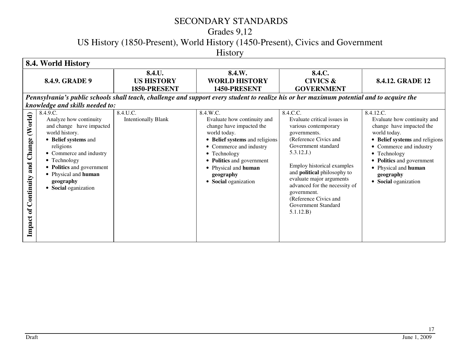# Grades 9,12

US History (1850-Present), World History (1450-Present), Civics and Government

History

| 8.4. World History                            |                                                                                                                                                                                                                                                                 |                                             |                                                                                                                                                                                                                                                            |                                                                                                                                                                                                                                                                                                                                                            |                                                                                                                                                                                                                                                             |
|-----------------------------------------------|-----------------------------------------------------------------------------------------------------------------------------------------------------------------------------------------------------------------------------------------------------------------|---------------------------------------------|------------------------------------------------------------------------------------------------------------------------------------------------------------------------------------------------------------------------------------------------------------|------------------------------------------------------------------------------------------------------------------------------------------------------------------------------------------------------------------------------------------------------------------------------------------------------------------------------------------------------------|-------------------------------------------------------------------------------------------------------------------------------------------------------------------------------------------------------------------------------------------------------------|
| 8.4.9. GRADE 9                                |                                                                                                                                                                                                                                                                 | 8.4.U.<br><b>US HISTORY</b><br>1850-PRESENT | 8.4.W.<br><b>WORLD HISTORY</b><br>1450-PRESENT                                                                                                                                                                                                             | 8.4.C.<br><b>CIVICS &amp;</b><br><b>GOVERNMENT</b>                                                                                                                                                                                                                                                                                                         | 8.4.12. GRADE 12                                                                                                                                                                                                                                            |
|                                               | Pennsylvania's public schools shall teach, challenge and support every student to realize his or her maximum potential and to acquire the<br>knowledge and skills needed to:                                                                                    |                                             |                                                                                                                                                                                                                                                            |                                                                                                                                                                                                                                                                                                                                                            |                                                                                                                                                                                                                                                             |
| (World)<br>Continuity and Change<br>Impact of | 8.4.9.C.<br>Analyze how continuity<br>and change have impacted<br>world history.<br>• Belief systems and<br>religions<br>• Commerce and industry<br>• Technology<br>• Politics and government<br>• Physical and human<br>geography<br><b>Social</b> oganization | 8.4.U.C.<br><b>Intentionally Blank</b>      | 8.4.W.C.<br>Evaluate how continuity and<br>change have impacted the<br>world today.<br>• Belief systems and religions<br>• Commerce and industry<br>• Technology<br>• Politics and government<br>• Physical and human<br>geography<br>• Social oganization | 8.4.C.C.<br>Evaluate critical issues in<br>various contemporary<br>governments.<br>(Reference Civics and<br>Government standard<br>5.3.12.J.)<br>Employ historical examples<br>and <b>political</b> philosophy to<br>evaluate major arguments<br>advanced for the necessity of<br>government.<br>(Reference Civics and<br>Government Standard<br>5.1.12.B) | 8.4.12.C.<br>Evaluate how continuity and<br>change have impacted the<br>world today.<br>• Belief systems and religions<br>• Commerce and industry<br>• Technology<br>• Politics and government<br>• Physical and human<br>geography<br>• Social oganization |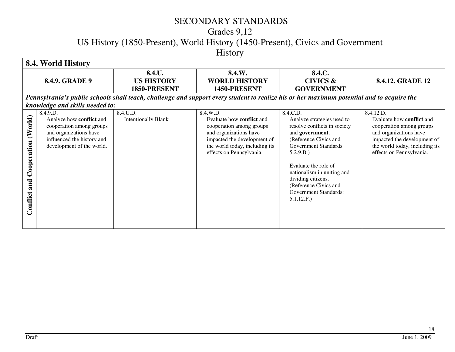# Grades 9,12

US History (1850-Present), World History (1450-Present), Civics and Government

History

| 8.4. World History                     |                                                                                                                                                                                          |                                             |                                                                                                                                                                                                 |                                                                                                                                                                                                                                                                                                            |                                                                                                                                                                                                  |
|----------------------------------------|------------------------------------------------------------------------------------------------------------------------------------------------------------------------------------------|---------------------------------------------|-------------------------------------------------------------------------------------------------------------------------------------------------------------------------------------------------|------------------------------------------------------------------------------------------------------------------------------------------------------------------------------------------------------------------------------------------------------------------------------------------------------------|--------------------------------------------------------------------------------------------------------------------------------------------------------------------------------------------------|
| 8.4.9. GRADE 9                         |                                                                                                                                                                                          | 8.4.U.<br><b>US HISTORY</b><br>1850-PRESENT | 8.4.W.<br><b>WORLD HISTORY</b><br>1450-PRESENT                                                                                                                                                  | 8.4.C.<br><b>CIVICS &amp;</b><br><b>GOVERNMENT</b>                                                                                                                                                                                                                                                         | 8.4.12. GRADE 12                                                                                                                                                                                 |
|                                        | Pennsylvania's public schools shall teach, challenge and support every student to realize his or her maximum potential and to acquire the                                                |                                             |                                                                                                                                                                                                 |                                                                                                                                                                                                                                                                                                            |                                                                                                                                                                                                  |
| Cooperation (World)<br>and<br>Conflict | knowledge and skills needed to:<br>8.4.9.D.<br>Analyze how conflict and<br>cooperation among groups<br>and organizations have<br>influenced the history and<br>development of the world. | 8.4.U.D.<br><b>Intentionally Blank</b>      | 8.4.W.D.<br>Evaluate how <b>conflict</b> and<br>cooperation among groups<br>and organizations have<br>impacted the development of<br>the world today, including its<br>effects on Pennsylvania. | 8.4.C.D.<br>Analyze strategies used to<br>resolve conflicts in society<br>and government.<br>(Reference Civics and<br>Government Standards<br>5.2.9.B.)<br>Evaluate the role of<br>nationalism in uniting and<br>dividing citizens.<br>(Reference Civics and<br><b>Government Standards:</b><br>5.1.12.F.) | 8.4.12.D.<br>Evaluate how <b>conflict</b> and<br>cooperation among groups<br>and organizations have<br>impacted the development of<br>the world today, including its<br>effects on Pennsylvania. |
|                                        |                                                                                                                                                                                          |                                             |                                                                                                                                                                                                 |                                                                                                                                                                                                                                                                                                            |                                                                                                                                                                                                  |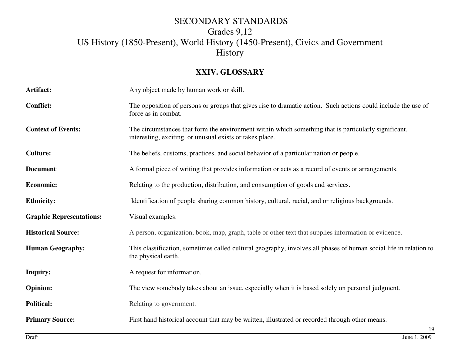#### **XXIV. GLOSSARY**

| Artifact:                       | Any object made by human work or skill.                                                                                                                          |  |
|---------------------------------|------------------------------------------------------------------------------------------------------------------------------------------------------------------|--|
| <b>Conflict:</b>                | The opposition of persons or groups that gives rise to dramatic action. Such actions could include the use of<br>force as in combat.                             |  |
| <b>Context of Events:</b>       | The circumstances that form the environment within which something that is particularly significant,<br>interesting, exciting, or unusual exists or takes place. |  |
| <b>Culture:</b>                 | The beliefs, customs, practices, and social behavior of a particular nation or people.                                                                           |  |
| Document:                       | A formal piece of writing that provides information or acts as a record of events or arrangements.                                                               |  |
| <b>Economic:</b>                | Relating to the production, distribution, and consumption of goods and services.                                                                                 |  |
| <b>Ethnicity:</b>               | Identification of people sharing common history, cultural, racial, and or religious backgrounds.                                                                 |  |
| <b>Graphic Representations:</b> | Visual examples.                                                                                                                                                 |  |
| <b>Historical Source:</b>       | A person, organization, book, map, graph, table or other text that supplies information or evidence.                                                             |  |
| <b>Human Geography:</b>         | This classification, sometimes called cultural geography, involves all phases of human social life in relation to<br>the physical earth.                         |  |
| <b>Inquiry:</b>                 | A request for information.                                                                                                                                       |  |
| <b>Opinion:</b>                 | The view somebody takes about an issue, especially when it is based solely on personal judgment.                                                                 |  |
| <b>Political:</b>               | Relating to government.                                                                                                                                          |  |
| <b>Primary Source:</b>          | First hand historical account that may be written, illustrated or recorded through other means.<br>19                                                            |  |